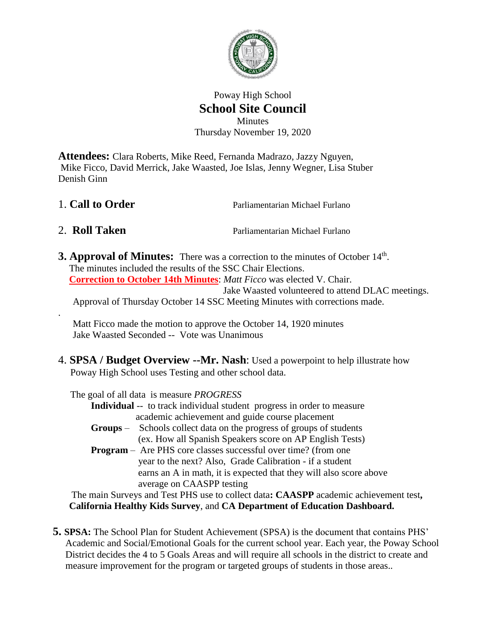

## Poway High School **School Site Council** Minutes Thursday November 19, 2020

**Attendees:** Clara Roberts, Mike Reed, Fernanda Madrazo, Jazzy Nguyen, Mike Ficco, David Merrick, Jake Waasted, Joe Islas, Jenny Wegner, Lisa Stuber Denish Ginn

- 1. **Call to Order** Parliamentarian Michael Furlano
- 

.

2. **Roll Taken** Parliamentarian Michael Furlano

**3. Approval of Minutes:** There was a correction to the minutes of October 14<sup>th</sup>. The minutes included the results of the SSC Chair Elections. **Correction to October 14th Minutes**: *Matt Ficco* was elected V. Chair. Jake Waasted volunteered to attend DLAC meetings. Approval of Thursday October 14 SSC Meeting Minutes with corrections made.

Matt Ficco made the motion to approve the October 14, 1920 minutes Jake Waasted Seconded -- Vote was Unanimous

4. **SPSA / Budget Overview --Mr. Nash**: Used a powerpoint to help illustrate how Poway High School uses Testing and other school data.

The goal of all data is measure *PROGRESS*

- **Individual** -- to track individual student progress in order to measure academic achievement and guide course placement
- **Groups** Schools collect data on the progress of groups of students (ex. How all Spanish Speakers score on AP English Tests)
- **Program** Are PHS core classes successful over time? (from one year to the next? Also, Grade Calibration - if a student earns an A in math, it is expected that they will also score above average on CAASPP testing

 The main Surveys and Test PHS use to collect data**: CAASPP** academic achievement test**, California Healthy Kids Survey**, and **CA Department of Education Dashboard.**

 **5. SPSA:** The School Plan for Student Achievement (SPSA) is the document that contains PHS' Academic and Social/Emotional Goals for the current school year. Each year, the Poway School District decides the 4 to 5 Goals Areas and will require all schools in the district to create and measure improvement for the program or targeted groups of students in those areas..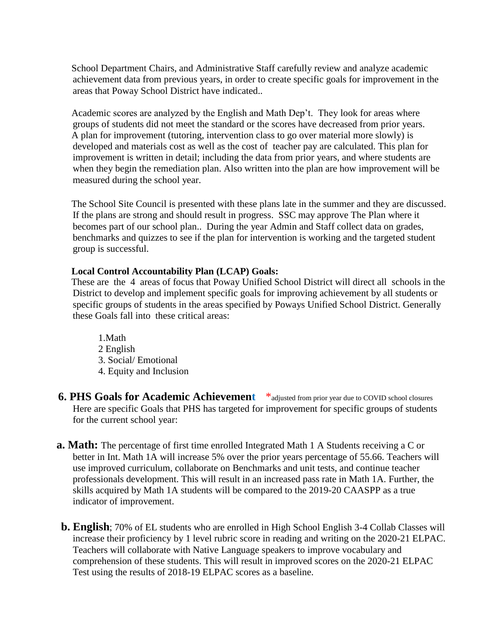School Department Chairs, and Administrative Staff carefully review and analyze academic achievement data from previous years, in order to create specific goals for improvement in the areas that Poway School District have indicated..

 Academic scores are analyzed by the English and Math Dep't. They look for areas where groups of students did not meet the standard or the scores have decreased from prior years. A plan for improvement (tutoring, intervention class to go over material more slowly) is developed and materials cost as well as the cost of teacher pay are calculated. This plan for improvement is written in detail; including the data from prior years, and where students are when they begin the remediation plan. Also written into the plan are how improvement will be measured during the school year.

 The School Site Council is presented with these plans late in the summer and they are discussed. If the plans are strong and should result in progress. SSC may approve The Plan where it becomes part of our school plan.. During the year Admin and Staff collect data on grades, benchmarks and quizzes to see if the plan for intervention is working and the targeted student group is successful.

#### **Local Control Accountability Plan (LCAP) Goals:**

 These are the 4 areas of focus that Poway Unified School District will direct all schools in the District to develop and implement specific goals for improving achievement by all students or specific groups of students in the areas specified by Poways Unified School District. Generally these Goals fall into these critical areas:

1.Math 2 English 3. Social/ Emotional 4. Equity and Inclusion

**6. PHS Goals for Academic Achievement**  $*$  adjusted from prior year due to COVID school closures Here are specific Goals that PHS has targeted for improvement for specific groups of students for the current school year:

- **a. Math:** The percentage of first time enrolled Integrated Math 1 A Students receiving a C or better in Int. Math 1A will increase 5% over the prior years percentage of 55.66. Teachers will use improved curriculum, collaborate on Benchmarks and unit tests, and continue teacher professionals development. This will result in an increased pass rate in Math 1A. Further, the skills acquired by Math 1A students will be compared to the 2019-20 CAASPP as a true indicator of improvement.
- **b. English**; 70% of EL students who are enrolled in High School English 3-4 Collab Classes will increase their proficiency by 1 level rubric score in reading and writing on the 2020-21 ELPAC. Teachers will collaborate with Native Language speakers to improve vocabulary and comprehension of these students. This will result in improved scores on the 2020-21 ELPAC Test using the results of 2018-19 ELPAC scores as a baseline.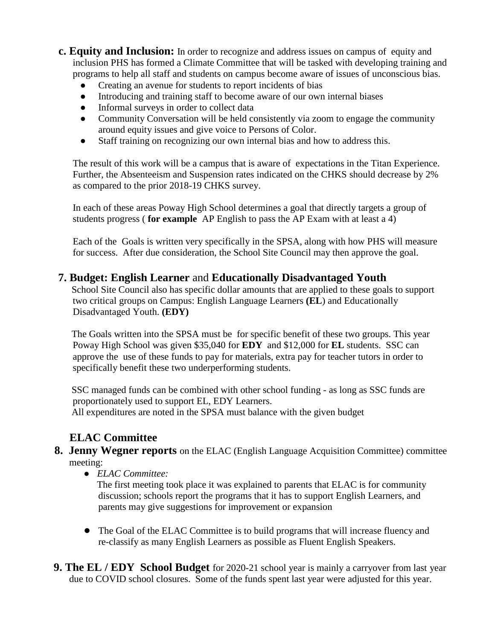- **c. Equity and Inclusion:** In order to recognize and address issues on campus of equity and inclusion PHS has formed a Climate Committee that will be tasked with developing training and programs to help all staff and students on campus become aware of issues of unconscious bias.
	- Creating an avenue for students to report incidents of bias
	- Introducing and training staff to become aware of our own internal biases
	- Informal surveys in order to collect data
	- Community Conversation will be held consistently via zoom to engage the community around equity issues and give voice to Persons of Color.
	- Staff training on recognizing our own internal bias and how to address this.

The result of this work will be a campus that is aware of expectations in the Titan Experience. Further, the Absenteeism and Suspension rates indicated on the CHKS should decrease by 2% as compared to the prior 2018-19 CHKS survey.

In each of these areas Poway High School determines a goal that directly targets a group of students progress ( **for example** AP English to pass the AP Exam with at least a 4)

Each of the Goals is written very specifically in the SPSA, along with how PHS will measure for success. After due consideration, the School Site Council may then approve the goal.

## **7. Budget: English Learner** and **Educationally Disadvantaged Youth**

 School Site Council also has specific dollar amounts that are applied to these goals to support two critical groups on Campus: English Language Learners **(EL**) and Educationally Disadvantaged Youth. **(EDY)**

 The Goals written into the SPSA must be for specific benefit of these two groups. This year Poway High School was given \$35,040 for **EDY** and \$12,000 for **EL** students. SSC can approve the use of these funds to pay for materials, extra pay for teacher tutors in order to specifically benefit these two underperforming students.

 SSC managed funds can be combined with other school funding - as long as SSC funds are proportionately used to support EL, EDY Learners.

All expenditures are noted in the SPSA must balance with the given budget

# **ELAC Committee**

- **8. Jenny Wegner reports** on the ELAC (English Language Acquisition Committee) committee meeting:
	- *ELAC Committee:*

 The first meeting took place it was explained to parents that ELAC is for community discussion; schools report the programs that it has to support English Learners, and parents may give suggestions for improvement or expansion

- The Goal of the ELAC Committee is to build programs that will increase fluency and re-classify as many English Learners as possible as Fluent English Speakers.
- **9. The EL / EDY School Budget** for 2020-21 school year is mainly a carryover from last year due to COVID school closures. Some of the funds spent last year were adjusted for this year.